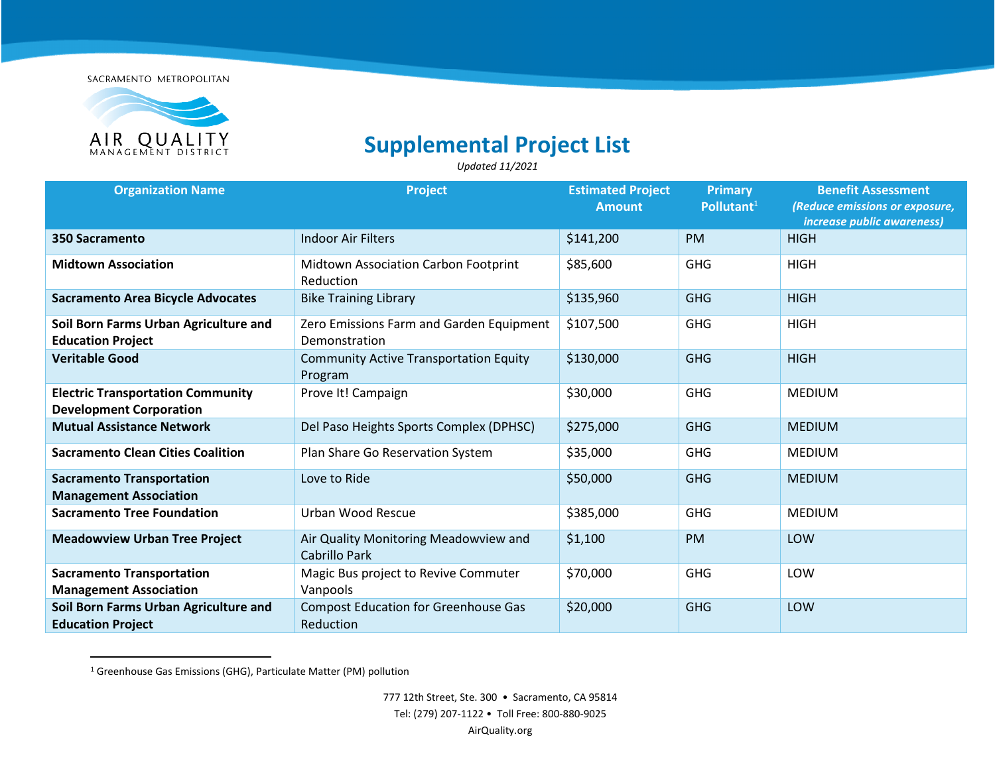SACRAMENTO METROPOLITAN



## **Supplemental Project List**

*Updated 11/2021* 

| <b>Organization Name</b>                                                   | Project                                                   | <b>Estimated Project</b><br><b>Amount</b> | <b>Primary</b><br>Pollutant $1$ | <b>Benefit Assessment</b><br>(Reduce emissions or exposure,<br>increase public awareness) |
|----------------------------------------------------------------------------|-----------------------------------------------------------|-------------------------------------------|---------------------------------|-------------------------------------------------------------------------------------------|
| 350 Sacramento                                                             | <b>Indoor Air Filters</b>                                 | \$141,200                                 | <b>PM</b>                       | <b>HIGH</b>                                                                               |
| <b>Midtown Association</b>                                                 | Midtown Association Carbon Footprint<br>Reduction         | \$85,600                                  | <b>GHG</b>                      | <b>HIGH</b>                                                                               |
| <b>Sacramento Area Bicycle Advocates</b>                                   | <b>Bike Training Library</b>                              | \$135,960                                 | <b>GHG</b>                      | <b>HIGH</b>                                                                               |
| Soil Born Farms Urban Agriculture and<br><b>Education Project</b>          | Zero Emissions Farm and Garden Equipment<br>Demonstration | \$107,500                                 | <b>GHG</b>                      | <b>HIGH</b>                                                                               |
| <b>Veritable Good</b>                                                      | <b>Community Active Transportation Equity</b><br>Program  | \$130,000                                 | <b>GHG</b>                      | <b>HIGH</b>                                                                               |
| <b>Electric Transportation Community</b><br><b>Development Corporation</b> | Prove It! Campaign                                        | \$30,000                                  | <b>GHG</b>                      | <b>MEDIUM</b>                                                                             |
| <b>Mutual Assistance Network</b>                                           | Del Paso Heights Sports Complex (DPHSC)                   | \$275,000                                 | <b>GHG</b>                      | <b>MEDIUM</b>                                                                             |
| <b>Sacramento Clean Cities Coalition</b>                                   | Plan Share Go Reservation System                          | \$35,000                                  | <b>GHG</b>                      | <b>MEDIUM</b>                                                                             |
| <b>Sacramento Transportation</b><br><b>Management Association</b>          | Love to Ride                                              | \$50,000                                  | <b>GHG</b>                      | <b>MEDIUM</b>                                                                             |
| <b>Sacramento Tree Foundation</b>                                          | Urban Wood Rescue                                         | \$385,000                                 | <b>GHG</b>                      | <b>MEDIUM</b>                                                                             |
| <b>Meadowview Urban Tree Project</b>                                       | Air Quality Monitoring Meadowview and<br>Cabrillo Park    | \$1,100                                   | <b>PM</b>                       | LOW                                                                                       |
| <b>Sacramento Transportation</b><br><b>Management Association</b>          | Magic Bus project to Revive Commuter<br>Vanpools          | \$70,000                                  | <b>GHG</b>                      | LOW                                                                                       |
| Soil Born Farms Urban Agriculture and<br><b>Education Project</b>          | <b>Compost Education for Greenhouse Gas</b><br>Reduction  | \$20,000                                  | <b>GHG</b>                      | LOW                                                                                       |

<span id="page-0-0"></span><sup>&</sup>lt;sup>1</sup> Greenhouse Gas Emissions (GHG), Particulate Matter (PM) pollution